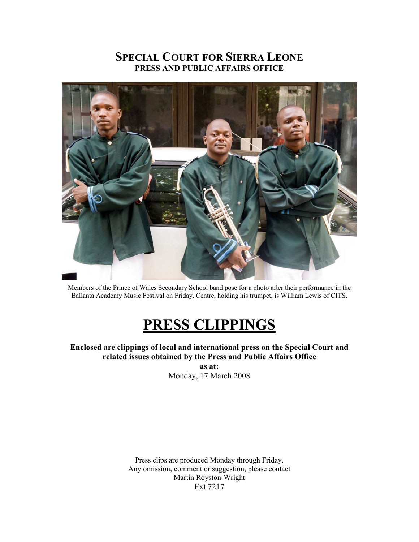# **SPECIAL COURT FOR SIERRA LEONE PRESS AND PUBLIC AFFAIRS OFFICE**



Members of the Prince of Wales Secondary School band pose for a photo after their performance in the Ballanta Academy Music Festival on Friday. Centre, holding his trumpet, is William Lewis of CITS.

# **PRESS CLIPPINGS**

**Enclosed are clippings of local and international press on the Special Court and related issues obtained by the Press and Public Affairs Office** 

> **as at:**  Monday, 17 March 2008

Press clips are produced Monday through Friday. Any omission, comment or suggestion, please contact Martin Royston-Wright Ext 7217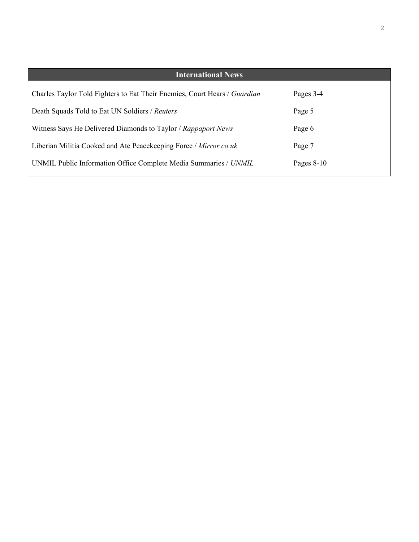| <b>International News</b>                                                 |              |
|---------------------------------------------------------------------------|--------------|
| Charles Taylor Told Fighters to Eat Their Enemies, Court Hears / Guardian | Pages 3-4    |
| Death Squads Told to Eat UN Soldiers / Reuters                            | Page 5       |
| Witness Says He Delivered Diamonds to Taylor / Rappaport News             | Page 6       |
| Liberian Militia Cooked and Ate Peacekeeping Force / Mirror.co.uk         | Page 7       |
| UNMIL Public Information Office Complete Media Summaries / UNMIL          | Pages $8-10$ |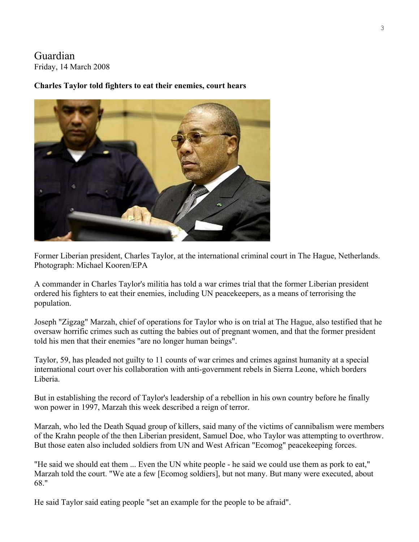Guardian Friday, 14 March 2008

#### **Charles Taylor told fighters to eat their enemies, court hears**



Former Liberian president, Charles Taylor, at the international criminal court in The Hague, Netherlands. Photograph: Michael Kooren/EPA

A commander in Charles Taylor's militia has told a war crimes trial that the former Liberian president ordered his fighters to eat their enemies, including UN peacekeepers, as a means of terrorising the population.

Joseph "Zigzag" Marzah, chief of operations for Taylor who is on trial at The Hague, also testified that he oversaw horrific crimes such as cutting the babies out of pregnant women, and that the former president told his men that their enemies "are no longer human beings".

Taylor, 59, has pleaded not guilty to 11 counts of war crimes and crimes against humanity at a special international court over his collaboration with anti-government rebels in Sierra Leone, which borders Liberia.

But in establishing the record of Taylor's leadership of a rebellion in his own country before he finally won power in 1997, Marzah this week described a reign of terror.

Marzah, who led the Death Squad group of killers, said many of the victims of cannibalism were members of the Krahn people of the then Liberian president, Samuel Doe, who Taylor was attempting to overthrow. But those eaten also included soldiers from UN and West African "Ecomog" peacekeeping forces.

"He said we should eat them ... Even the UN white people - he said we could use them as pork to eat," Marzah told the court. "We ate a few [Ecomog soldiers], but not many. But many were executed, about 68."

He said Taylor said eating people "set an example for the people to be afraid".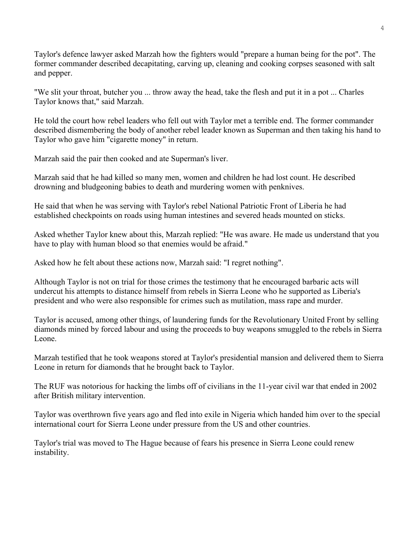Taylor's defence lawyer asked Marzah how the fighters would "prepare a human being for the pot". The former commander described decapitating, carving up, cleaning and cooking corpses seasoned with salt and pepper.

"We slit your throat, butcher you ... throw away the head, take the flesh and put it in a pot ... Charles Taylor knows that," said Marzah.

He told the court how rebel leaders who fell out with Taylor met a terrible end. The former commander described dismembering the body of another rebel leader known as Superman and then taking his hand to Taylor who gave him "cigarette money" in return.

Marzah said the pair then cooked and ate Superman's liver.

Marzah said that he had killed so many men, women and children he had lost count. He described drowning and bludgeoning babies to death and murdering women with penknives.

He said that when he was serving with Taylor's rebel National Patriotic Front of Liberia he had established checkpoints on roads using human intestines and severed heads mounted on sticks.

Asked whether Taylor knew about this, Marzah replied: "He was aware. He made us understand that you have to play with human blood so that enemies would be afraid."

Asked how he felt about these actions now, Marzah said: "I regret nothing".

Although Taylor is not on trial for those crimes the testimony that he encouraged barbaric acts will undercut his attempts to distance himself from rebels in Sierra Leone who he supported as Liberia's president and who were also responsible for crimes such as mutilation, mass rape and murder.

Taylor is accused, among other things, of laundering funds for the Revolutionary United Front by selling diamonds mined by forced labour and using the proceeds to buy weapons smuggled to the rebels in Sierra Leone.

Marzah testified that he took weapons stored at Taylor's presidential mansion and delivered them to Sierra Leone in return for diamonds that he brought back to Taylor.

The RUF was notorious for hacking the limbs off of civilians in the 11-year civil war that ended in 2002 after British military intervention.

Taylor was overthrown five years ago and fled into exile in Nigeria which handed him over to the special international court for Sierra Leone under pressure from the US and other countries.

Taylor's trial was moved to The Hague because of fears his presence in Sierra Leone could renew instability.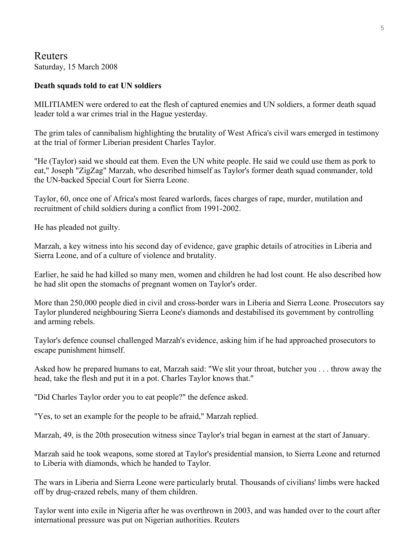Reuters Saturday, 15 March 2008

# **Death squads told to eat UN soldiers**

MILITIAMEN were ordered to eat the flesh of captured enemies and UN soldiers, a former death squad leader told a war crimes trial in the Hague yesterday.

The grim tales of cannibalism highlighting the brutality of West Africa's civil wars emerged in testimony at the trial of former Liberian president Charles Taylor.

"He (Taylor) said we should eat them. Even the UN white people. He said we could use them as pork to eat," Joseph "ZigZag" Marzah, who described himself as Taylor's former death squad commander, told the UN-backed Special Court for Sierra Leone.

Taylor, 60, once one of Africa's most feared warlords, faces charges of rape, murder, mutilation and recruitment of child soldiers during a conflict from 1991-2002.

He has pleaded not guilty.

Marzah, a key witness into his second day of evidence, gave graphic details of atrocities in Liberia and Sierra Leone, and of a culture of violence and brutality.

Earlier, he said he had killed so many men, women and children he had lost count. He also described how he had slit open the stomachs of pregnant women on Taylor's order.

More than 250,000 people died in civil and cross-border wars in Liberia and Sierra Leone. Prosecutors say Taylor plundered neighbouring Sierra Leone's diamonds and destabilised its government by controlling and arming rebels.

Taylor's defence counsel challenged Marzah's evidence, asking him if he had approached prosecutors to escape punishment himself.

Asked how he prepared humans to eat, Marzah said: "We slit your throat, butcher you . . . throw away the head, take the flesh and put it in a pot. Charles Taylor knows that."

"Did Charles Taylor order you to eat people?" the defence asked.

"Yes, to set an example for the people to be afraid," Marzah replied.

Marzah, 49, is the 20th prosecution witness since Taylor's trial began in earnest at the start of January.

Marzah said he took weapons, some stored at Taylor's presidential mansion, to Sierra Leone and returned to Liberia with diamonds, which he handed to Taylor.

The wars in Liberia and Sierra Leone were particularly brutal. Thousands of civilians' limbs were hacked off by drug-crazed rebels, many of them children.

Taylor went into exile in Nigeria after he was overthrown in 2003, and was handed over to the court after international pressure was put on Nigerian authorities. Reuters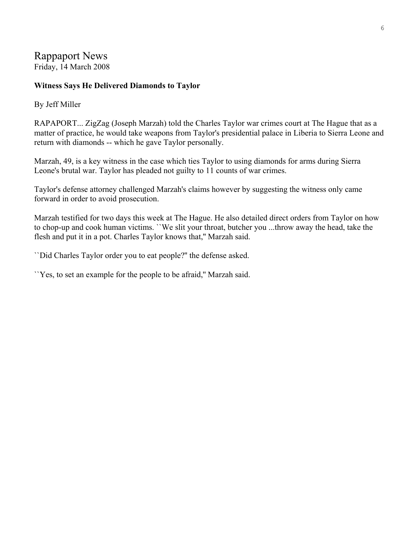Rappaport News Friday, 14 March 2008

#### **Witness Says He Delivered Diamonds to Taylor**

#### By Jeff Miller

RAPAPORT... ZigZag (Joseph Marzah) told the Charles Taylor war crimes court at The Hague that as a matter of practice, he would take weapons from Taylor's presidential palace in Liberia to Sierra Leone and return with diamonds -- which he gave Taylor personally.

Marzah, 49, is a key witness in the case which ties Taylor to using diamonds for arms during Sierra Leone's brutal war. Taylor has pleaded not guilty to 11 counts of war crimes.

Taylor's defense attorney challenged Marzah's claims however by suggesting the witness only came forward in order to avoid prosecution.

Marzah testified for two days this week at The Hague. He also detailed direct orders from Taylor on how to chop-up and cook human victims. ``We slit your throat, butcher you ...throw away the head, take the flesh and put it in a pot. Charles Taylor knows that,'' Marzah said.

``Did Charles Taylor order you to eat people?'' the defense asked.

``Yes, to set an example for the people to be afraid,'' Marzah said.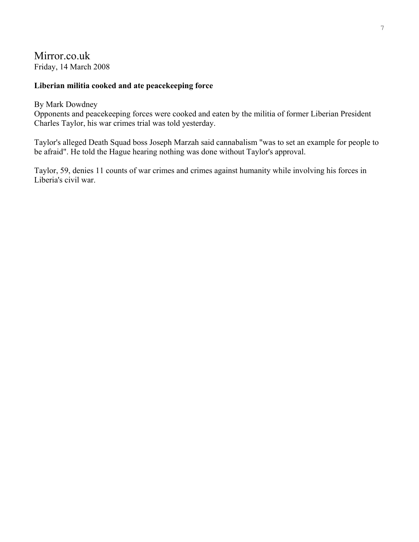Mirror.co.uk Friday, 14 March 2008

# **Liberian militia cooked and ate peacekeeping force**

# By Mark Dowdney

Opponents and peacekeeping forces were cooked and eaten by the militia of former Liberian President Charles Taylor, his war crimes trial was told yesterday.

Taylor's alleged Death Squad boss Joseph Marzah said cannabalism "was to set an example for people to be afraid". He told the Hague hearing nothing was done without Taylor's approval.

Taylor, 59, denies 11 counts of war crimes and crimes against humanity while involving his forces in Liberia's civil war.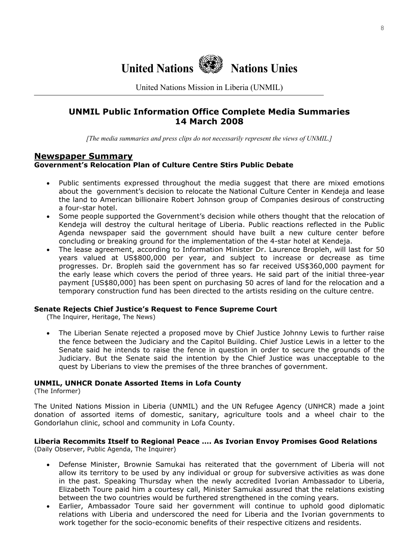

United Nations Mission in Liberia (UNMIL)

# **UNMIL Public Information Office Complete Media Summaries 14 March 2008**

*[The media summaries and press clips do not necessarily represent the views of UNMIL.]*

# **Newspaper Summary**

# **Government's Relocation Plan of Culture Centre Stirs Public Debate**

- Public sentiments expressed throughout the media suggest that there are mixed emotions about the government's decision to relocate the National Culture Center in Kendeja and lease the land to American billionaire Robert Johnson group of Companies desirous of constructing a four-star hotel.
- Some people supported the Government's decision while others thought that the relocation of Kendeja will destroy the cultural heritage of Liberia. Public reactions reflected in the Public Agenda newspaper said the government should have built a new culture center before concluding or breaking ground for the implementation of the 4-star hotel at Kendeja.
- The lease agreement, according to Information Minister Dr. Laurence Bropleh, will last for 50 years valued at US\$800,000 per year, and subject to increase or decrease as time progresses. Dr. Bropleh said the government has so far received US\$360,000 payment for the early lease which covers the period of three years. He said part of the initial three-year payment [US\$80,000] has been spent on purchasing 50 acres of land for the relocation and a temporary construction fund has been directed to the artists residing on the culture centre.

#### **Senate Rejects Chief Justice's Request to Fence Supreme Court**

(The Inquirer, Heritage, The News)

• The Liberian Senate rejected a proposed move by Chief Justice Johnny Lewis to further raise the fence between the Judiciary and the Capitol Building. Chief Justice Lewis in a letter to the Senate said he intends to raise the fence in question in order to secure the grounds of the Judiciary. But the Senate said the intention by the Chief Justice was unacceptable to the quest by Liberians to view the premises of the three branches of government.

#### **UNMIL, UNHCR Donate Assorted Items in Lofa County**

(The Informer)

The United Nations Mission in Liberia (UNMIL) and the UN Refugee Agency (UNHCR) made a joint donation of assorted items of domestic, sanitary, agriculture tools and a wheel chair to the Gondorlahun clinic, school and community in Lofa County.

#### **Liberia Recommits Itself to Regional Peace …. As Ivorian Envoy Promises Good Relations**  (Daily Observer, Public Agenda, The Inquirer)

- Defense Minister, Brownie Samukai has reiterated that the government of Liberia will not allow its territory to be used by any individual or group for subversive activities as was done in the past. Speaking Thursday when the newly accredited Ivorian Ambassador to Liberia, Elizabeth Toure paid him a courtesy call, Minister Samukai assured that the relations existing between the two countries would be furthered strengthened in the coming years.
- Earlier, Ambassador Toure said her government will continue to uphold good diplomatic relations with Liberia and underscored the need for Liberia and the Ivorian governments to work together for the socio-economic benefits of their respective citizens and residents.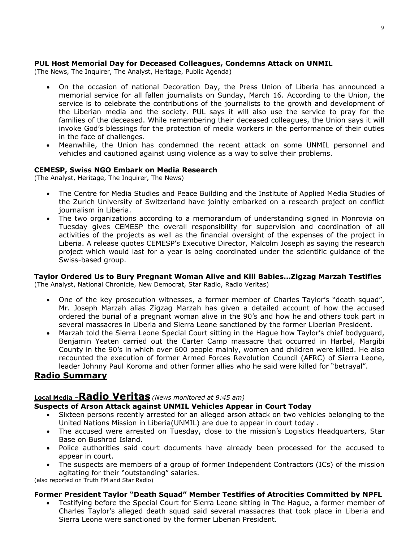# **PUL Host Memorial Day for Deceased Colleagues, Condemns Attack on UNMIL**

(The News, The Inquirer, The Analyst, Heritage, Public Agenda)

- On the occasion of national Decoration Day, the Press Union of Liberia has announced a memorial service for all fallen journalists on Sunday, March 16. According to the Union, the service is to celebrate the contributions of the journalists to the growth and development of the Liberian media and the society. PUL says it will also use the service to pray for the families of the deceased. While remembering their deceased colleagues, the Union says it will invoke God's blessings for the protection of media workers in the performance of their duties in the face of challenges.
- Meanwhile, the Union has condemned the recent attack on some UNMIL personnel and vehicles and cautioned against using violence as a way to solve their problems.

#### **CEMESP, Swiss NGO Embark on Media Research**

(The Analyst, Heritage, The Inquirer, The News)

- The Centre for Media Studies and Peace Building and the Institute of Applied Media Studies of the Zurich University of Switzerland have jointly embarked on a research project on conflict journalism in Liberia.
- The two organizations according to a memorandum of understanding signed in Monrovia on Tuesday gives CEMESP the overall responsibility for supervision and coordination of all activities of the projects as well as the financial oversight of the expenses of the project in Liberia. A release quotes CEMESP's Executive Director, Malcolm Joseph as saying the research project which would last for a year is being coordinated under the scientific guidance of the Swiss-based group.

# **Taylor Ordered Us to Bury Pregnant Woman Alive and Kill Babies…Zigzag Marzah Testifies**

(The Analyst, National Chronicle, New Democrat, Star Radio, Radio Veritas)

- One of the key prosecution witnesses, a former member of Charles Taylor's "death squad", Mr. Joseph Marzah alias Zigzag Marzah has given a detailed account of how the accused ordered the burial of a pregnant woman alive in the 90's and how he and others took part in several massacres in Liberia and Sierra Leone sanctioned by the former Liberian President.
- Marzah told the Sierra Leone Special Court sitting in the Hague how Taylor's chief bodyguard, Benjamin Yeaten carried out the Carter Camp massacre that occurred in Harbel, Margibi County in the 90's in which over 600 people mainly, women and children were killed. He also recounted the execution of former Armed Forces Revolution Council (AFRC) of Sierra Leone, leader Johnny Paul Koroma and other former allies who he said were killed for "betrayal".

# **Radio Summary**

# **Local Media –Radio Veritas** *(News monitored at 9:45 am)*

# **Suspects of Arson Attack against UNMIL Vehicles Appear in Court Today**

- Sixteen persons recently arrested for an alleged arson attack on two vehicles belonging to the United Nations Mission in Liberia(UNMIL) are due to appear in court today .
- The accused were arrested on Tuesday, close to the mission's Logistics Headquarters, Star Base on Bushrod Island.
- Police authorities said court documents have already been processed for the accused to appear in court.
- The suspects are members of a group of former Independent Contractors (ICs) of the mission agitating for their "outstanding" salaries.

(also reported on Truth FM and Star Radio)

# **Former President Taylor "Death Squad" Member Testifies of Atrocities Committed by NPFL**

• Testifying before the Special Court for Sierra Leone sitting in The Hague, a former member of Charles Taylor's alleged death squad said several massacres that took place in Liberia and Sierra Leone were sanctioned by the former Liberian President.